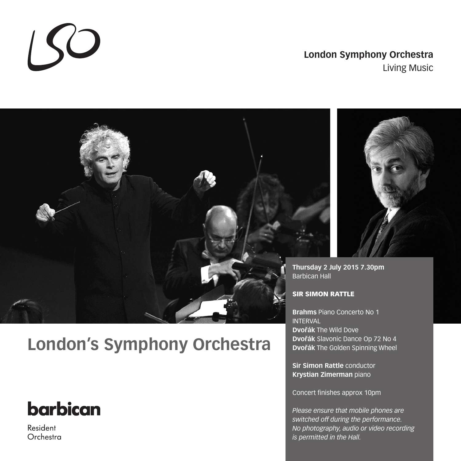### **London Symphony Orchestra** Living Music



# **London's Symphony Orchestra**

# barbican

 $150$ 

Resident Orchestra



**Thursday 2 July 2015 7.30pm** Barbican Hall

### SIR SIMON RATTLE

**Brahms** Piano Concerto No 1 INTERVAL **Dvořák** The Wild Dove **Dvorˇák** Slavonic Dance Op 72 No 4 **Dvořák** The Golden Spinning Wheel

**Sir Simon Rattle** conductor **Krystian Zimerman** piano

Concert finishes approx 10pm

*Please ensure that mobile phones are switched off during the performance. No photography, audio or video recording is permitted in the Hall.*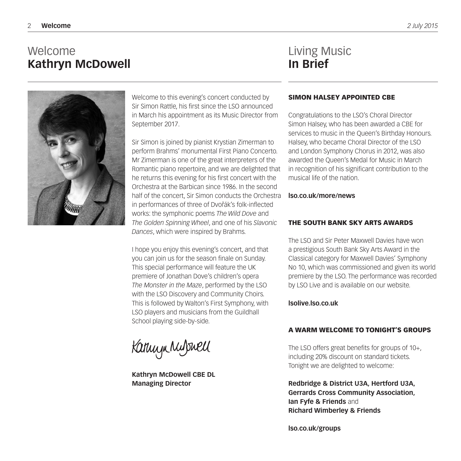### Welcome **Kathryn McDowell**

### Living Music **In Brief**



Welcome to this evening's concert conducted by Sir Simon Rattle, his first since the LSO announced in March his appointment as its Music Director from September 2017.

Sir Simon is joined by pianist Krystian Zimerman to perform Brahms' monumental First Piano Concerto. Mr Zimerman is one of the great interpreters of the Romantic piano repertoire, and we are delighted that he returns this evening for his first concert with the Orchestra at the Barbican since 1986. In the second half of the concert, Sir Simon conducts the Orchestra in performances of three of Dvořák's folk-inflected works: the symphonic poems *The Wild Dove* and *The Golden Spinning Wheel*, and one of his *Slavonic Dances*, which were inspired by Brahms.

I hope you enjoy this evening's concert, and that you can join us for the season finale on Sunday. This special performance will feature the UK premiere of Jonathan Dove's children's opera *The Monster in the Maze*, performed by the LSO with the LSO Discovery and Community Choirs. This is followed by Walton's First Symphony, with LSO players and musicians from the Guildhall School playing side-by-side.

Kannyn Mulswell

**Kathryn McDowell CBE DL Managing Director**

#### SIMON HALSEY APPOINTED CBE

Congratulations to the LSO's Choral Director Simon Halsey, who has been awarded a CBE for services to music in the Queen's Birthday Honours. Halsey, who became Choral Director of the LSO and London Symphony Chorus in 2012, was also awarded the Queen's Medal for Music in March in recognition of his significant contribution to the musical life of the nation.

#### **lso.co.uk/more/news**

#### THE SOUTH BANK SKY ARTS AWARDS

The LSO and Sir Peter Maxwell Davies have won a prestigious South Bank Sky Arts Award in the Classical category for Maxwell Davies' Symphony No 10, which was commissioned and given its world premiere by the LSO. The performance was recorded by LSO Live and is available on our website.

#### **lsolive.lso.co.uk**

#### A WARM WELCOME TO TONIGHT'S GROUPS

The LSO offers great benefits for groups of 10+, including 20% discount on standard tickets. Tonight we are delighted to welcome:

**Redbridge & District U3A, Hertford U3A, Gerrards Cross Community Association, Ian Fyfe & Friends** and **Richard Wimberley & Friends**

**lso.co.uk/groups**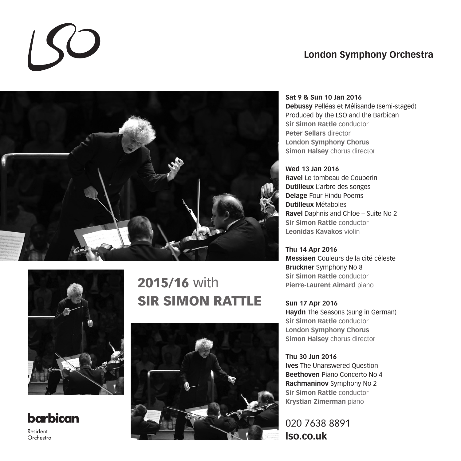### **London Symphony Orchestra**





## **barbican**

Resident Orchestra

## 2015/16 with SIR SIMON RATTLE



**Sat 9 & Sun 10 Jan 2016 Debussy** Pelléas et Mélisande (semi-staged) Produced by the LSO and the Barbican **Sir Simon Rattle** conductor **Peter Sellars** director **London Symphony Chorus Simon Halsey** chorus director

**Wed 13 Jan 2016 Ravel** Le tombeau de Couperin **Dutilleux** L'arbre des songes **Delage** Four Hindu Poems **Dutilleux** Métaboles **Ravel** Daphnis and Chloe – Suite No 2 **Sir Simon Rattle** conductor **Leonidas Kavakos** violin

**Thu 14 Apr 2016 Messiaen** Couleurs de la cité céleste **Bruckner** Symphony No 8 **Sir Simon Rattle** conductor **Pierre-Laurent Aimard** piano

**Sun 17 Apr 2016 Haydn** The Seasons (sung in German) **Sir Simon Rattle** conductor **London Symphony Chorus Simon Halsey** chorus director

**Thu 30 Jun 2016 Ives** The Unanswered Question **Beethoven** Piano Concerto No 4 **Rachmaninov** Symphony No 2 **Sir Simon Rattle** conductor **Krystian Zimerman** piano

020 7638 8891 **lso.co.uk**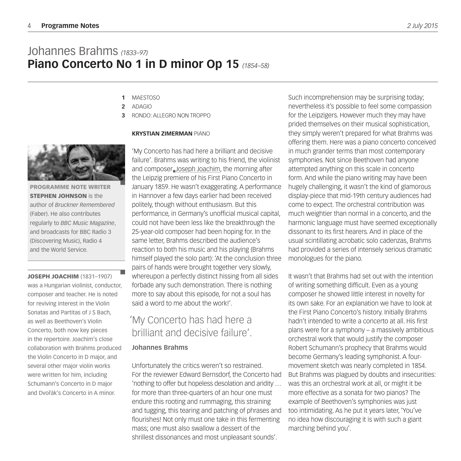### Johannes Brahms *(1833–97)* **Piano Concerto No 1 in D minor Op 15** *(1854–58)*

- MAESTOSO **1**
- ADAGIO **2**
- RONDO: ALLEGRO NON TROPPO **3**

#### **KRYSTIAN ZIMERMAN** PIANO

'My Concerto has had here a brilliant and decisive failure'. Brahms was writing to his friend, the violinist and composer Joseph Joachim, the morning after the Leipzig premiere of his First Piano Concerto in January 1859. He wasn't exaggerating. A performance in Hannover a few days earlier had been received politely, though without enthusiasm. But this performance, in Germany's unofficial musical capital, could not have been less like the breakthrough the 25-year-old composer had been hoping for. In the same letter, Brahms described the audience's reaction to both his music and his playing (Brahms himself played the solo part): 'At the conclusion three pairs of hands were brought together very slowly, whereupon a perfectly distinct hissing from all sides forbade any such demonstration. There is nothing more to say about this episode, for not a soul has said a word to me about the work!'

### 'My Concerto has had here a brilliant and decisive failure'.

#### **Johannes Brahms**

Unfortunately the critics weren't so restrained. For the reviewer Edward Bernsdorf, the Concerto had 'nothing to offer but hopeless desolation and aridity … for more than three-quarters of an hour one must endure this rooting and rummaging, this straining and tugging, this tearing and patching of phrases and flourishes! Not only must one take in this fermenting mass; one must also swallow a dessert of the shrillest dissonances and most unpleasant sounds'.

Such incomprehension may be surprising today; nevertheless it's possible to feel some compassion for the Leipzigers. However much they may have prided themselves on their musical sophistication, they simply weren't prepared for what Brahms was offering them. Here was a piano concerto conceived in much grander terms than most contemporary symphonies. Not since Beethoven had anyone attempted anything on this scale in concerto form. And while the piano writing may have been hugely challenging, it wasn't the kind of glamorous display-piece that mid-19th century audiences had come to expect. The orchestral contribution was much weightier than normal in a concerto, and the harmonic language must have seemed exceptionally dissonant to its first hearers. And in place of the usual scintillating acrobatic solo cadenzas, Brahms had provided a series of intensely serious dramatic monologues for the piano.

It wasn't that Brahms had set out with the intention of writing something difficult. Even as a young composer he showed little interest in novelty for its own sake. For an explanation we have to look at the First Piano Concerto's history. Initially Brahms hadn't intended to write a concerto at all. His first plans were for a symphony – a massively ambitious orchestral work that would justify the composer Robert Schumann's prophecy that Brahms would become Germany's leading symphonist. A fourmovement sketch was nearly completed in 1854. But Brahms was plagued by doubts and insecurities: was this an orchestral work at all, or might it be more effective as a sonata for two pianos? The example of Beethoven's symphonies was just too intimidating. As he put it years later, 'You've no idea how discouraging it is with such a giant marching behind you'.



PROGRAMME NOTE WRITER **STEPHEN JOHNSON** is the author of *Bruckner Remembered* (Faber). He also contributes regularly to *BBC Music Magazine*, and broadcasts for BBC Radio 3 (Discovering Music), Radio 4 and the World Service.

JOSEPH JOACHIM (1831–1907) was a Hungarian violinist, conductor, composer and teacher. He is noted for reviving interest in the Violin Sonatas and Partitas of J S Bach, as well as Beethoven's Violin Concerto, both now key pieces in the repertoire. Joachim's close collaboration with Brahms produced the Violin Concerto in D major, and several other major violin works were written for him, including Schumann's Concerto in D major and Dvořák's Concerto in A minor.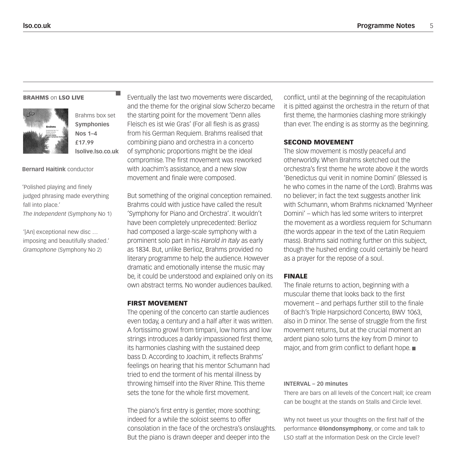#### **BRAHMS on LSO LIVE**



Brahms box set **Symphonies Nos 1–4 £17.99 lsolive.lso.co.uk**

#### **Bernard Haitink** conductor

'Polished playing and finely judged phrasing made everything fall into place.' *The Independent* (Symphony No 1)

'[An] exceptional new disc … imposing and beautifully shaded.' *Gramophone* (Symphony No 2)

Eventually the last two movements were discarded, and the theme for the original slow Scherzo became the starting point for the movement 'Denn alles Fleisch es ist wie Gras' (For all flesh is as grass) from his German Requiem. Brahms realised that combining piano and orchestra in a concerto of symphonic proportions might be the ideal compromise. The first movement was reworked with Joachim's assistance, and a new slow movement and finale were composed.

But something of the original conception remained. Brahms could with justice have called the result 'Symphony for Piano and Orchestra'. It wouldn't have been completely unprecedented: Berlioz had composed a large-scale symphony with a prominent solo part in his *Harold in Italy* as early as 1834. But, unlike Berlioz, Brahms provided no literary programme to help the audience. However dramatic and emotionally intense the music may be, it could be understood and explained only on its own abstract terms. No wonder audiences baulked.

#### FIRST MOVEMENT

The opening of the concerto can startle audiences even today, a century and a half after it was written. A fortissimo growl from timpani, low horns and low strings introduces a darkly impassioned first theme, its harmonies clashing with the sustained deep bass D. According to Joachim, it reflects Brahms' feelings on hearing that his mentor Schumann had tried to end the torment of his mental illness by throwing himself into the River Rhine. This theme sets the tone for the whole first movement.

The piano's first entry is gentler, more soothing; indeed for a while the soloist seems to offer consolation in the face of the orchestra's onslaughts. But the piano is drawn deeper and deeper into the

conflict, until at the beginning of the recapitulation it is pitted against the orchestra in the return of that first theme, the harmonies clashing more strikingly than ever. The ending is as stormy as the beginning.

#### SECOND MOVEMENT

The slow movement is mostly peaceful and otherworldly. When Brahms sketched out the orchestra's first theme he wrote above it the words 'Benedictus qui venit in nomine Domini' (Blessed is he who comes in the name of the Lord). Brahms was no believer; in fact the text suggests another link with Schumann, whom Brahms nicknamed 'Mynheer Domini' – which has led some writers to interpret the movement as a wordless requiem for Schumann (the words appear in the text of the Latin Requiem mass). Brahms said nothing further on this subject, though the hushed ending could certainly be heard as a prayer for the repose of a soul.

#### FINALE

The finale returns to action, beginning with a muscular theme that looks back to the first movement – and perhaps further still to the finale of Bach's Triple Harpsichord Concerto, BWV 1063, also in D minor. The sense of struggle from the first movement returns, but at the crucial moment an ardent piano solo turns the key from D minor to major, and from grim conflict to defiant hope.

#### **INTERVAL – 20 minutes**

There are bars on all levels of the Concert Hall; ice cream can be bought at the stands on Stalls and Circle level.

Why not tweet us your thoughts on the first half of the performance **@londonsymphony**, or come and talk to LSO staff at the Information Desk on the Circle level?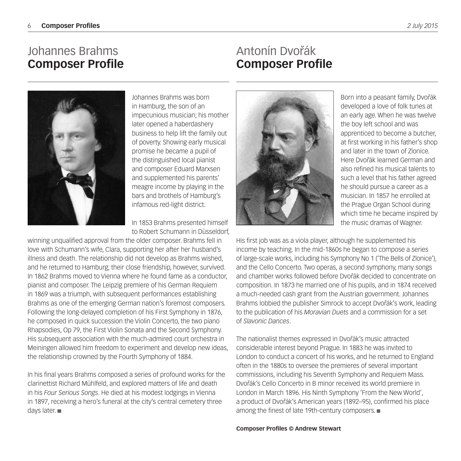### Johannes Brahms **Composer Profile**

### Antonín Dvořák **Composer Profile**



Johannes Brahms was born in Hamburg, the son of an impecunious musician; his mother later opened a haberdashery business to help lift the family out of poverty. Showing early musical promise he became a pupil of the distinguished local pianist and composer Eduard Marxsen and supplemented his parents' meagre income by playing in the bars and brothels of Hamburg's infamous red-light district.

In 1853 Brahms presented himself to Robert Schumann in Düsseldorf,

winning unqualified approval from the older composer. Brahms fell in love with Schumann's wife, Clara, supporting her after her husband's illness and death. The relationship did not develop as Brahms wished, and he returned to Hamburg; their close friendship, however, survived. In 1862 Brahms moved to Vienna where he found fame as a conductor, pianist and composer. The Leipzig premiere of his German Requiem in 1869 was a triumph, with subsequent performances establishing Brahms as one of the emerging German nation's foremost composers. Following the long-delayed completion of his First Symphony in 1876, he composed in quick succession the Violin Concerto, the two piano Rhapsodies, Op 79, the First Violin Sonata and the Second Symphony. His subsequent association with the much-admired court orchestra in Meiningen allowed him freedom to experiment and develop new ideas, the relationship crowned by the Fourth Symphony of 1884.

In his final years Brahms composed a series of profound works for the clarinettist Richard Mühlfeld, and explored matters of life and death in his *Four Serious Songs*. He died at his modest lodgings in Vienna in 1897, receiving a hero's funeral at the city's central cemetery three days later.



Born into a peasant family, Dvořák developed a love of folk tunes at an early age. When he was twelve the boy left school and was apprenticed to become a butcher, at first working in his father's shop and later in the town of Zlonice. Here Dvořák learned German and also refined his musical talents to such a level that his father agreed he should pursue a career as a musician. In 1857 he enrolled at the Prague Organ School during which time he became inspired by the music dramas of Wagner.

His first job was as a viola player, although he supplemented his income by teaching. In the mid-1860s he began to compose a series of large-scale works, including his Symphony No 1 ('The Bells of Zlonice'), and the Cello Concerto. Two operas, a second symphony, many songs and chamber works followed before Dvořák decided to concentrate on composition. In 1873 he married one of his pupils, and in 1874 received a much-needed cash grant from the Austrian government. Johannes Brahms lobbied the publisher Simrock to accept Dvořák's work, leading to the publication of his *Moravian Duets* and a commission for a set of *Slavonic Dances*.

The nationalist themes expressed in Dvořák's music attracted considerable interest beyond Prague. In 1883 he was invited to London to conduct a concert of his works, and he returned to England often in the 1880s to oversee the premieres of several important commissions, including his Seventh Symphony and Requiem Mass. Dvořák's Cello Concerto in B minor received its world premiere in London in March 1896. His Ninth Symphony 'From the New World', a product of Dvořák's American years (1892–95), confirmed his place among the finest of late 19th-century composers.

**Composer Profiles © Andrew Stewart**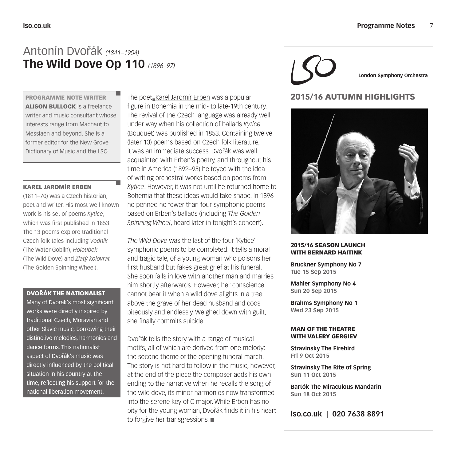### Antonín Dvorˇák *(1841–1904)* **The Wild Dove Op 110** *(1896–97)*

PROGRAMME NOTE WRITER ALISON BULLOCK is a freelance writer and music consultant whose interests range from Machaut to Messiaen and beyond. She is a former editor for the New Grove Dictionary of Music and the LSO.

#### KAREL JAROMÍR ERBEN

(1811–70) was a Czech historian, poet and writer. His most well known work is his set of poems *Kytice*, which was first published in 1853. The 13 poems explore traditional Czech folk tales including *Vodnik* (The Water-Goblin), *Holoubek* (The WIld Dove) and *Zlatý kolovrat*  (The Golden Spinning Wheel).

#### DVOŘÁK THE NATIONALIST

Many of Dvořák's most significant works were directly inspired by traditional Czech, Moravian and other Slavic music, borrowing their distinctive melodies, harmonies and dance forms. This nationalist aspect of Dvořák's music was directly influenced by the political situation in his country at the time, reflecting his support for the national liberation movement.

The poet\_Karel Jaromír Erben was a popular figure in Bohemia in the mid- to late-19th century. The revival of the Czech language was already well under way when his collection of ballads *Kytice* (Bouquet) was published in 1853. Containing twelve (later 13) poems based on Czech folk literature, it was an immediate success. Dvořák was well acquainted with Erben's poetry, and throughout his time in America (1892–95) he toyed with the idea of writing orchestral works based on poems from *Kytice*. However, it was not until he returned home to Bohemia that these ideas would take shape. In 1896 he penned no fewer than four symphonic poems based on Erben's ballads (including *The Golden Spinning Wheel*, heard later in tonight's concert).

*The Wild Dove* was the last of the four 'Kytice' symphonic poems to be completed. It tells a moral and tragic tale, of a young woman who poisons her first husband but fakes great grief at his funeral. She soon falls in love with another man and marries him shortly afterwards. However, her conscience cannot bear it when a wild dove alights in a tree above the grave of her dead husband and coos piteously and endlessly. Weighed down with guilt, she finally commits suicide.

Dvořák tells the story with a range of musical motifs, all of which are derived from one melody: the second theme of the opening funeral march. The story is not hard to follow in the music; however, at the end of the piece the composer adds his own ending to the narrative when he recalls the song of the wild dove, its minor harmonies now transformed into the serene key of C major. While Erben has no pity for the young woman, Dyořák finds it in his heart to forgive her transgressions.

**London Symphony Orchestra**

### 2015/16 AUTUMN HIGHLIGHTS



#### 2015/16 SEASON LAUNCH WITH BERNARD HAITINK

**Bruckner Symphony No 7 Tue 15 Sep 2015**

**Mahler Symphony No 4 Sun 20 Sep 2015**

**Brahms Symphony No 1 Wed 23 Sep 2015**

#### MAN OF THE THEATRE WITH VALERY GERGIEV

**Stravinsky The Firebird Fri 9 Oct 2015**

**Stravinsky The Rite of Spring Sun 11 Oct 2015**

**Bartók The Miraculous Mandarin Sun 18 Oct 2015**

**lso.co.uk | 020 7638 8891**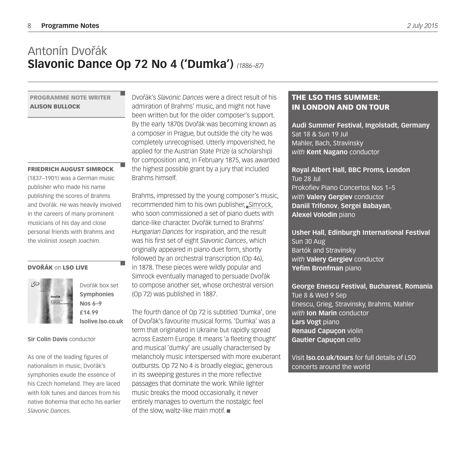### Antonín Dvořák **Slavonic Dance Op 72 No 4 ('Dumka')** *(1886–87)*

#### PROGRAMME NOTE WRITER ALISON BULLOCK

#### FRIEDRICH AUGUST SIMROCK

(1837–1901) was a German music publisher who made his name publishing the scores of Brahms and Dvořák. He was heavily involved in the careers of many prominent musicians of his day and close personal friends with Brahms and the violinist Joseph Joachim.

#### DVOŘÁK on LSO LIVE



Dvořák box set **Symphonies Nos 6–9 £14.99 lsolive.lso.co.uk**

**Sir Colin Davis** conductor

As one of the leading figures of nationalism in music, Dvořák's symphonies exude the essence of his Czech homeland. They are laced with folk tunes and dances from his native Bohemia that echo his earlier *Slavonic Dances*.

Dvořák's *Slavonic Dances* were a direct result of his admiration of Brahms' music, and might not have been written but for the older composer's support. By the early 1870s Dvořák was becoming known as a composer in Prague, but outside the city he was completely unrecognised. Utterly impoverished, he applied for the Austrian State Prize (a scholarship) for composition and, in February 1875, was awarded the highest possible grant by a jury that included Brahms himself.

Brahms, impressed by the young composer's music, recommended him to his own publisher, Simrock, who soon commissioned a set of piano duets with dance-like character. Dvořák turned to Brahms' *Hungarian Dances* for inspiration, and the result was his first set of eight *Slavonic Dances*, which originally appeared in piano duet form, shortly followed by an orchestral transcription (Op 46), in 1878. These pieces were wildly popular and Simrock eventually managed to persuade Dvořák to compose another set, whose orchestral version (Op 72) was published in 1887.

The fourth dance of Op 72 is subtitled 'Dumka', one of Dvorˇák's favourite musical forms. 'Dumka' was a term that originated in Ukraine but rapidly spread across Eastern Europe. It means 'a fleeting thought' and musical 'dumky' are usually characterised by melancholy music interspersed with more exuberant outbursts. Op 72 No 4 is broadly elegiac, generous in its sweeping gestures in the more reflective passages that dominate the work. While lighter music breaks the mood occasionally, it never entirely manages to overturn the nostalgic feel of the slow, waltz-like main motif.

### THE LSO THIS SUMMER: IN LONDON AND ON TOUR

**Audi Summer Festival, Ingolstadt, Germany** Sat 18 & Sun 19 Jul Mahler, Bach, Stravinsky *with* **Kent Nagano** conductor

**Royal Albert Hall, BBC Proms, London** Tue 28 Jul Prokofiev Piano Concertos Nos 1–5 *with* **Valery Gergiev** conductor **Daniil Trifonov**, **Sergei Babayan**, **Alexei Volodin** piano

**Usher Hall, Edinburgh International Festival** Sun 30 Aug Bartók and Stravinsky *with* **Valery Gergiev** conductor **Yefim Bronfman** piano

**George Enescu Festival, Bucharest, Romania** Tue 8 & Wed 9 Sep Enescu, Grieg, Stravinsky, Brahms, Mahler *with* **Ion Marin** conductor **Lars Vogt** piano **Renaud Capuçon** violin **Gautier Capuçon** cello

Visit **lso.co.uk/tours** for full details of LSO concerts around the world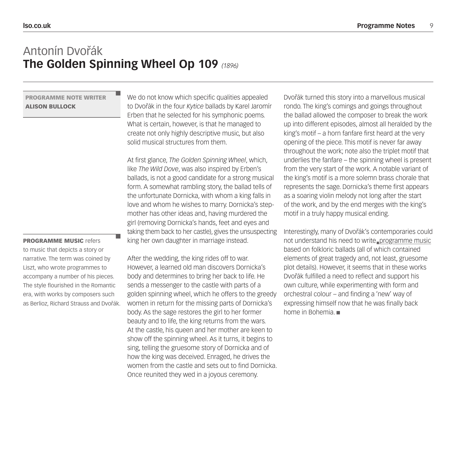### Antonín Dvořák **The Golden Spinning Wheel Op 109** *(1896)*

#### PROGRAMME NOTE WRITER ALISON BULLOCK

PROGRAMME MUSIC refers to music that depicts a story or narrative. The term was coined by Liszt, who wrote programmes to accompany a number of his pieces. The style flourished in the Romantic era, with works by composers such as Berlioz, Richard Strauss and Dvořák. We do not know which specific qualities appealed to Dvořák in the four *Kytice* ballads by Karel Jaromír Erben that he selected for his symphonic poems. What is certain, however, is that he managed to create not only highly descriptive music, but also solid musical structures from them.

At first glance, *The Golden Spinning Wheel*, which, like *The Wild Dove*, was also inspired by Erben's ballads, is not a good candidate for a strong musical form. A somewhat rambling story, the ballad tells of the unfortunate Dornicka, with whom a king falls in love and whom he wishes to marry. Dornicka's stepmother has other ideas and, having murdered the girl (removing Dornicka's hands, feet and eyes and taking them back to her castle), gives the unsuspecting king her own daughter in marriage instead.

After the wedding, the king rides off to war. However, a learned old man discovers Dornicka's body and determines to bring her back to life. He sends a messenger to the castle with parts of a golden spinning wheel, which he offers to the greedy women in return for the missing parts of Dornicka's body. As the sage restores the girl to her former beauty and to life, the king returns from the wars. At the castle, his queen and her mother are keen to show off the spinning wheel. As it turns, it begins to sing, telling the gruesome story of Dornicka and of how the king was deceived. Enraged, he drives the women from the castle and sets out to find Dornicka. Once reunited they wed in a joyous ceremony.

Dvořák turned this story into a marvellous musical rondo. The king's comings and goings throughout the ballad allowed the composer to break the work up into different episodes, almost all heralded by the king's motif – a horn fanfare first heard at the very opening of the piece. This motif is never far away throughout the work; note also the triplet motif that underlies the fanfare – the spinning wheel is present from the very start of the work. A notable variant of the king's motif is a more solemn brass chorale that represents the sage. Dornicka's theme first appears as a soaring violin melody not long after the start of the work, and by the end merges with the king's motif in a truly happy musical ending.

Interestingly, many of Dvořák's contemporaries could not understand his need to write programme music based on folkloric ballads (all of which contained elements of great tragedy and, not least, gruesome plot details). However, it seems that in these works Dvořák fulfilled a need to reflect and support his own culture, while experimenting with form and orchestral colour – and finding a 'new' way of expressing himself now that he was finally back home in Bohemia.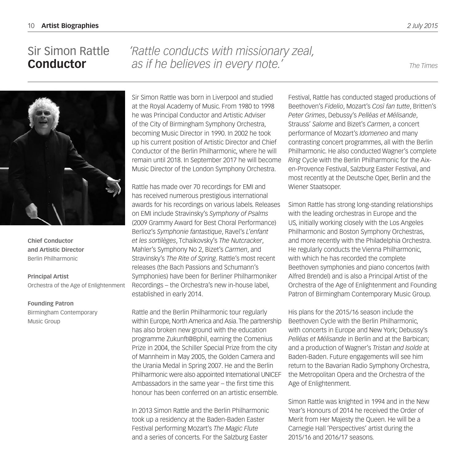### Sir Simon Rattle **Conductor**

## *'Rattle conducts with missionary zeal, as if he believes in every note.' The Times*



**Chief Conductor and Artistic Director** Berlin Philharmonic

**Principal Artist** Orchestra of the Age of Enlightenment

#### **Founding Patron**

Birmingham Contemporary Music Group

Sir Simon Rattle was born in Liverpool and studied at the Royal Academy of Music. From 1980 to 1998 he was Principal Conductor and Artistic Adviser of the City of Birmingham Symphony Orchestra, becoming Music Director in 1990. In 2002 he took up his current position of Artistic Director and Chief Conductor of the Berlin Philharmonic, where he will remain until 2018. In September 2017 he will become Music Director of the London Symphony Orchestra.

Rattle has made over 70 recordings for EMI and has received numerous prestigious international awards for his recordings on various labels. Releases on EMI include Stravinsky's *Symphony of Psalms* (2009 Grammy Award for Best Choral Performance) Berlioz's *Symphonie fantastique*, Ravel's *L'enfant et les sortilèges*, Tchaikovsky's *The Nutcracker*, Mahler's Symphony No 2, Bizet's *Carmen*, and Stravinsky's *The Rite of Spring*. Rattle's most recent releases (the Bach Passions and Schumann's Symphonies) have been for Berliner Philharmoniker Recordings – the Orchestra's new in-house label, established in early 2014.

Rattle and the Berlin Philharmonic tour regularly within Europe, North America and Asia. The partnership has also broken new ground with the education programme Zukunft@Bphil, earning the Comenius Prize in 2004, the Schiller Special Prize from the city of Mannheim in May 2005, the Golden Camera and the Urania Medal in Spring 2007. He and the Berlin Philharmonic were also appointed International UNICEF Ambassadors in the same year – the first time this honour has been conferred on an artistic ensemble.

In 2013 Simon Rattle and the Berlin Philharmonic took up a residency at the Baden-Baden Easter Festival performing Mozart's *The Magic Flute* and a series of concerts. For the Salzburg Easter

Festival, Rattle has conducted staged productions of Beethoven's *Fidelio*, Mozart's *Così fan tutte*, Britten's *Peter Grimes*, Debussy's *Pelléas et Mélisande*, Strauss' *Salome* and Bizet's *Carmen*, a concert performance of Mozart's *Idomeneo* and many contrasting concert programmes, all with the Berlin Philharmonic. He also conducted Wagner's complete *Ring* Cycle with the Berlin Philharmonic for the Aixen-Provence Festival, Salzburg Easter Festival, and most recently at the Deutsche Oper, Berlin and the Wiener Staatsoper.

Simon Rattle has strong long-standing relationships with the leading orchestras in Europe and the US, initially working closely with the Los Angeles Philharmonic and Boston Symphony Orchestras, and more recently with the Philadelphia Orchestra. He regularly conducts the Vienna Philharmonic, with which he has recorded the complete Beethoven symphonies and piano concertos (with Alfred Brendel) and is also a Principal Artist of the Orchestra of the Age of Enlightenment and Founding Patron of Birmingham Contemporary Music Group.

His plans for the 2015/16 season include the Beethoven Cycle with the Berlin Philharmonic, with concerts in Europe and New York; Debussy's *Pelléas et Mélisande* in Berlin and at the Barbican; and a production of Wagner's *Tristan and Isolde* at Baden-Baden. Future engagements will see him return to the Bavarian Radio Symphony Orchestra, the Metropolitan Opera and the Orchestra of the Age of Enlightenment.

Simon Rattle was knighted in 1994 and in the New Year's Honours of 2014 he received the Order of Merit from Her Majesty the Queen. He will be a Carnegie Hall 'Perspectives' artist during the 2015/16 and 2016/17 seasons.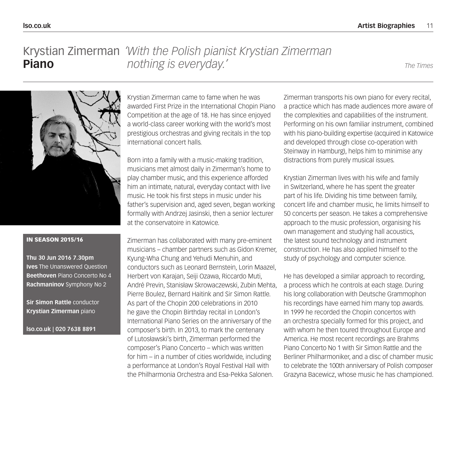### *'With the Polish pianist Krystian Zimerman*  Krystian Zimerman *nothing is everyday.' The Times* **Piano**



#### IN SEASON 2015/16

**Thu 30 Jun 2016 7.30pm Ives** The Unanswered Question **Beethoven** Piano Concerto No 4 **Rachmaninov** Symphony No 2

**Sir Simon Rattle** conductor **Krystian Zimerman** piano

**lso.co.uk | 020 7638 8891**

Krystian Zimerman came to fame when he was awarded First Prize in the International Chopin Piano Competition at the age of 18. He has since enjoyed a world-class career working with the world's most prestigious orchestras and giving recitals in the top international concert halls.

Born into a family with a music-making tradition, musicians met almost daily in Zimerman's home to play chamber music, and this experience afforded him an intimate, natural, everyday contact with live music. He took his first steps in music under his father's supervision and, aged seven, began working formally with Andrzej Jasinski, then a senior lecturer at the conservatoire in Katowice.

Zimerman has collaborated with many pre-eminent musicians – chamber partners such as Gidon Kremer, Kyung-Wha Chung and Yehudi Menuhin, and conductors such as Leonard Bernstein, Lorin Maazel, Herbert von Karajan, Seiji Ozawa, Riccardo Muti, André Previn, Stanisław Skrowaczewski, Zubin Mehta, Pierre Boulez, Bernard Haitink and Sir Simon Rattle. As part of the Chopin 200 celebrations in 2010 he gave the Chopin Birthday recital in London's International Piano Series on the anniversary of the composer's birth. In 2013, to mark the centenary of Lutosławski's birth, Zimerman performed the composer's Piano Concerto – which was written for him – in a number of cities worldwide, including a performance at London's Royal Festival Hall with the Philharmonia Orchestra and Esa-Pekka Salonen.

Zimerman transports his own piano for every recital, a practice which has made audiences more aware of the complexities and capabilities of the instrument. Performing on his own familiar instrument, combined with his piano-building expertise (acquired in Katowice and developed through close co-operation with Steinway in Hamburg), helps him to minimise any distractions from purely musical issues.

Krystian Zimerman lives with his wife and family in Switzerland, where he has spent the greater part of his life. Dividing his time between family, concert life and chamber music, he limits himself to 50 concerts per season. He takes a comprehensive approach to the music profession, organising his own management and studying hall acoustics, the latest sound technology and instrument construction. He has also applied himself to the study of psychology and computer science.

He has developed a similar approach to recording, a process which he controls at each stage. During his long collaboration with Deutsche Grammophon his recordings have earned him many top awards. In 1999 he recorded the Chopin concertos with an orchestra specially formed for this project, and with whom he then toured throughout Europe and America. He most recent recordings are Brahms Piano Concerto No 1 with Sir Simon Rattle and the Berliner Philharmoniker, and a disc of chamber music to celebrate the 100th anniversary of Polish composer Grazyna Bacewicz, whose music he has championed.